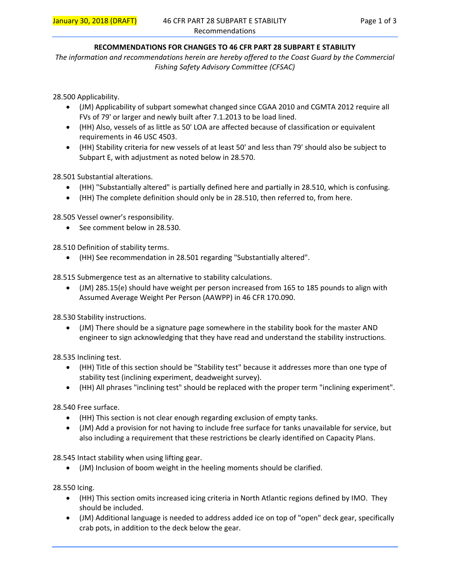#### **RECOMMENDATIONS FOR CHANGES TO 46 CFR PART 28 SUBPART E STABILITY**

*The information and recommendations herein are hereby offered to the Coast Guard by the Commercial Fishing Safety Advisory Committee (CFSAC)* 

28.500 Applicability.

- (JM) Applicability of subpart somewhat changed since CGAA 2010 and CGMTA 2012 require all FVs of 79' or larger and newly built after 7.1.2013 to be load lined.
- (HH) Also, vessels of as little as 50' LOA are affected because of classification or equivalent requirements in 46 USC 4503.
- (HH) Stability criteria for new vessels of at least 50' and less than 79' should also be subject to Subpart E, with adjustment as noted below in 28.570.

28.501 Substantial alterations.

- (HH) "Substantially altered" is partially defined here and partially in 28.510, which is confusing.
- (HH) The complete definition should only be in 28.510, then referred to, from here.

28.505 Vessel owner's responsibility.

• See comment below in 28.530.

28.510 Definition of stability terms.

(HH) See recommendation in 28.501 regarding "Substantially altered".

28.515 Submergence test as an alternative to stability calculations.

 (JM) 285.15(e) should have weight per person increased from 165 to 185 pounds to align with Assumed Average Weight Per Person (AAWPP) in 46 CFR 170.090.

28.530 Stability instructions.

 (JM) There should be a signature page somewhere in the stability book for the master AND engineer to sign acknowledging that they have read and understand the stability instructions.

28.535 Inclining test.

- (HH) Title of this section should be "Stability test" because it addresses more than one type of stability test (inclining experiment, deadweight survey).
- (HH) All phrases "inclining test" should be replaced with the proper term "inclining experiment".

28.540 Free surface.

- (HH) This section is not clear enough regarding exclusion of empty tanks.
- (JM) Add a provision for not having to include free surface for tanks unavailable for service, but also including a requirement that these restrictions be clearly identified on Capacity Plans.

28.545 Intact stability when using lifting gear.

(JM) Inclusion of boom weight in the heeling moments should be clarified.

28.550 Icing.

- (HH) This section omits increased icing criteria in North Atlantic regions defined by IMO. They should be included.
- (JM) Additional language is needed to address added ice on top of "open" deck gear, specifically crab pots, in addition to the deck below the gear.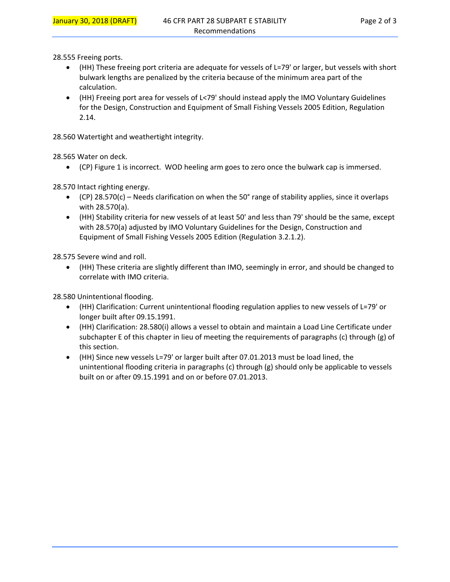28.555 Freeing ports.

- (HH) These freeing port criteria are adequate for vessels of L=79' or larger, but vessels with short bulwark lengths are penalized by the criteria because of the minimum area part of the calculation.
- (HH) Freeing port area for vessels of L<79' should instead apply the IMO Voluntary Guidelines for the Design, Construction and Equipment of Small Fishing Vessels 2005 Edition, Regulation 2.14.

28.560 Watertight and weathertight integrity.

28.565 Water on deck.

(CP) Figure 1 is incorrect. WOD heeling arm goes to zero once the bulwark cap is immersed.

28.570 Intact righting energy.

- $\bullet$  (CP) 28.570(c) Needs clarification on when the 50 $\degree$  range of stability applies, since it overlaps with 28.570(a).
- (HH) Stability criteria for new vessels of at least 50' and less than 79' should be the same, except with 28.570(a) adjusted by IMO Voluntary Guidelines for the Design, Construction and Equipment of Small Fishing Vessels 2005 Edition (Regulation 3.2.1.2).

28.575 Severe wind and roll.

 (HH) These criteria are slightly different than IMO, seemingly in error, and should be changed to correlate with IMO criteria.

28.580 Unintentional flooding.

- (HH) Clarification: Current unintentional flooding regulation applies to new vessels of L=79' or longer built after 09.15.1991.
- (HH) Clarification: 28.580(i) allows a vessel to obtain and maintain a Load Line Certificate under subchapter E of this chapter in lieu of meeting the requirements of paragraphs (c) through (g) of this section.
- (HH) Since new vessels L=79' or larger built after 07.01.2013 must be load lined, the unintentional flooding criteria in paragraphs (c) through (g) should only be applicable to vessels built on or after 09.15.1991 and on or before 07.01.2013.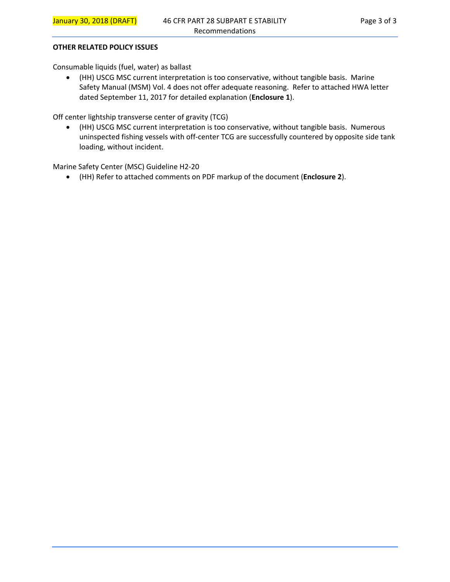#### **OTHER RELATED POLICY ISSUES**

Consumable liquids (fuel, water) as ballast

 (HH) USCG MSC current interpretation is too conservative, without tangible basis. Marine Safety Manual (MSM) Vol. 4 does not offer adequate reasoning. Refer to attached HWA letter dated September 11, 2017 for detailed explanation (**Enclosure 1**).

Off center lightship transverse center of gravity (TCG)

 (HH) USCG MSC current interpretation is too conservative, without tangible basis. Numerous uninspected fishing vessels with off‐center TCG are successfully countered by opposite side tank loading, without incident.

Marine Safety Center (MSC) Guideline H2‐20

(HH) Refer to attached comments on PDF markup of the document (**Enclosure 2**).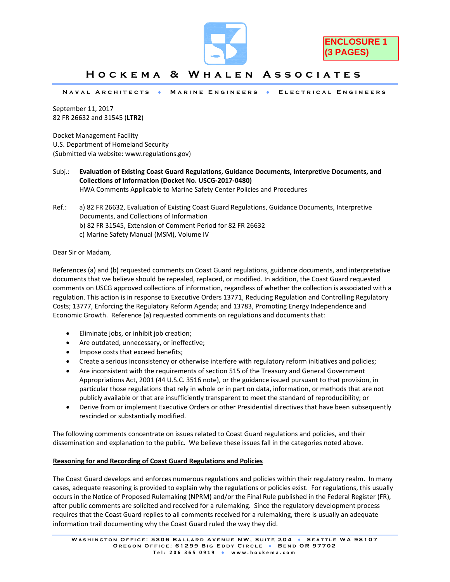



## **Hockema & Whalen Associates**

**Naval Architects Marine Engineers Electrical Engineers** 

September 11, 2017 82 FR 26632 and 31545 (**LTR2**)

Docket Management Facility U.S. Department of Homeland Security (Submitted via website: www.regulations.gov)

- Subj.: **Evaluation of Existing Coast Guard Regulations, Guidance Documents, Interpretive Documents, and Collections of Information (Docket No. USCG‐2017‐0480)** HWA Comments Applicable to Marine Safety Center Policies and Procedures
- Ref.: a) 82 FR 26632, Evaluation of Existing Coast Guard Regulations, Guidance Documents, Interpretive Documents, and Collections of Information b) 82 FR 31545, Extension of Comment Period for 82 FR 26632 c) Marine Safety Manual (MSM), Volume IV

Dear Sir or Madam,

References (a) and (b) requested comments on Coast Guard regulations, guidance documents, and interpretative documents that we believe should be repealed, replaced, or modified. In addition, the Coast Guard requested comments on USCG approved collections of information, regardless of whether the collection is associated with a regulation. This action is in response to Executive Orders 13771, Reducing Regulation and Controlling Regulatory Costs; 13777, Enforcing the Regulatory Reform Agenda; and 13783, Promoting Energy Independence and Economic Growth. Reference (a) requested comments on regulations and documents that:

- Eliminate jobs, or inhibit job creation;
- Are outdated, unnecessary, or ineffective;
- Impose costs that exceed benefits;
- Create a serious inconsistency or otherwise interfere with regulatory reform initiatives and policies;
- Are inconsistent with the requirements of section 515 of the Treasury and General Government Appropriations Act, 2001 (44 U.S.C. 3516 note), or the guidance issued pursuant to that provision, in particular those regulations that rely in whole or in part on data, information, or methods that are not publicly available or that are insufficiently transparent to meet the standard of reproducibility; or
- Derive from or implement Executive Orders or other Presidential directives that have been subsequently rescinded or substantially modified.

The following comments concentrate on issues related to Coast Guard regulations and policies, and their dissemination and explanation to the public. We believe these issues fall in the categories noted above.

#### **Reasoning for and Recording of Coast Guard Regulations and Policies**

The Coast Guard develops and enforces numerous regulations and policies within their regulatory realm. In many cases, adequate reasoning is provided to explain why the regulations or policies exist. For regulations, this usually occurs in the Notice of Proposed Rulemaking (NPRM) and/or the Final Rule published in the Federal Register (FR), after public comments are solicited and received for a rulemaking. Since the regulatory development process requires that the Coast Guard replies to all comments received for a rulemaking, there is usually an adequate information trail documenting why the Coast Guard ruled the way they did.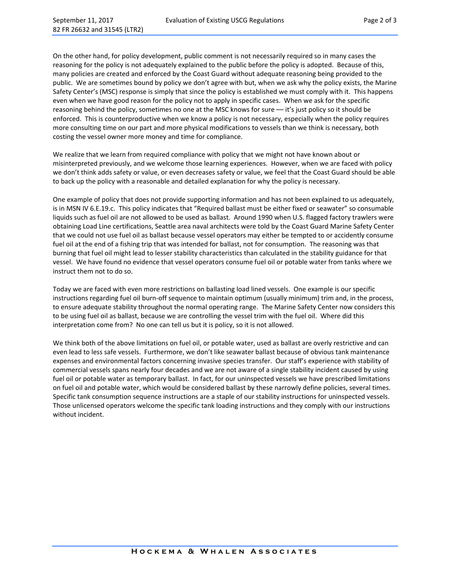On the other hand, for policy development, public comment is not necessarily required so in many cases the reasoning for the policy is not adequately explained to the public before the policy is adopted. Because of this, many policies are created and enforced by the Coast Guard without adequate reasoning being provided to the public. We are sometimes bound by policy we don't agree with but, when we ask why the policy exists, the Marine Safety Center's (MSC) response is simply that since the policy is established we must comply with it. This happens even when we have good reason for the policy not to apply in specific cases. When we ask for the specific reasoning behind the policy, sometimes no one at the MSC knows for sure — it's just policy so it should be enforced. This is counterproductive when we know a policy is not necessary, especially when the policy requires more consulting time on our part and more physical modifications to vessels than we think is necessary, both costing the vessel owner more money and time for compliance.

We realize that we learn from required compliance with policy that we might not have known about or misinterpreted previously, and we welcome those learning experiences. However, when we are faced with policy we don't think adds safety or value, or even decreases safety or value, we feel that the Coast Guard should be able to back up the policy with a reasonable and detailed explanation for why the policy is necessary.

One example of policy that does not provide supporting information and has not been explained to us adequately, is in MSN IV 6.E.19.c. This policy indicates that "Required ballast must be either fixed or seawater" so consumable liquids such as fuel oil are not allowed to be used as ballast. Around 1990 when U.S. flagged factory trawlers were obtaining Load Line certifications, Seattle area naval architects were told by the Coast Guard Marine Safety Center that we could not use fuel oil as ballast because vessel operators may either be tempted to or accidently consume fuel oil at the end of a fishing trip that was intended for ballast, not for consumption. The reasoning was that burning that fuel oil might lead to lesser stability characteristics than calculated in the stability guidance for that vessel. We have found no evidence that vessel operators consume fuel oil or potable water from tanks where we instruct them not to do so.

Today we are faced with even more restrictions on ballasting load lined vessels. One example is our specific instructions regarding fuel oil burn‐off sequence to maintain optimum (usually minimum) trim and, in the process, to ensure adequate stability throughout the normal operating range. The Marine Safety Center now considers this to be using fuel oil as ballast, because we are controlling the vessel trim with the fuel oil. Where did this interpretation come from? No one can tell us but it is policy, so it is not allowed.

We think both of the above limitations on fuel oil, or potable water, used as ballast are overly restrictive and can even lead to less safe vessels. Furthermore, we don't like seawater ballast because of obvious tank maintenance expenses and environmental factors concerning invasive species transfer. Our staff's experience with stability of commercial vessels spans nearly four decades and we are not aware of a single stability incident caused by using fuel oil or potable water as temporary ballast. In fact, for our uninspected vessels we have prescribed limitations on fuel oil and potable water, which would be considered ballast by these narrowly define policies, several times. Specific tank consumption sequence instructions are a staple of our stability instructions for uninspected vessels. Those unlicensed operators welcome the specific tank loading instructions and they comply with our instructions without incident.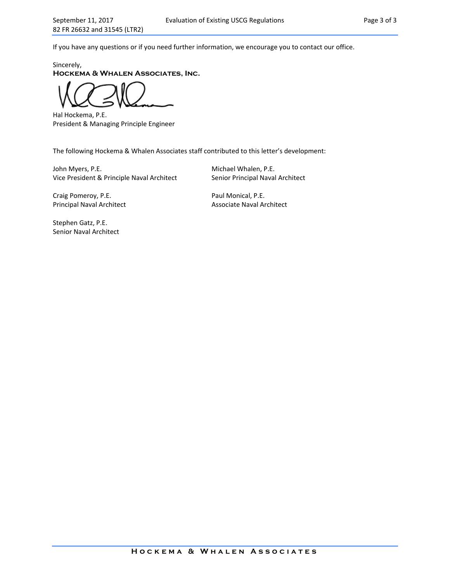If you have any questions or if you need further information, we encourage you to contact our office.

Sincerely, **Hockema & Whalen Associates, Inc.** 

Hal Hockema, P.E. President & Managing Principle Engineer

The following Hockema & Whalen Associates staff contributed to this letter's development:

John Myers, P.E. **In the Contract of Contract Contract Contract Contract Contract Contract Contract Contract Contract Contract Contract Contract Contract Contract Contract Contract Contract Contract Contract Contract Contr** Vice President & Principle Naval Architect Senior Principal Naval Architect

Craig Pomeroy, P.E. **Example 20 and Strategier Paul Monical**, P.E. Principal Naval Architect **and Architect** Associate Naval Architect

Stephen Gatz, P.E. Senior Naval Architect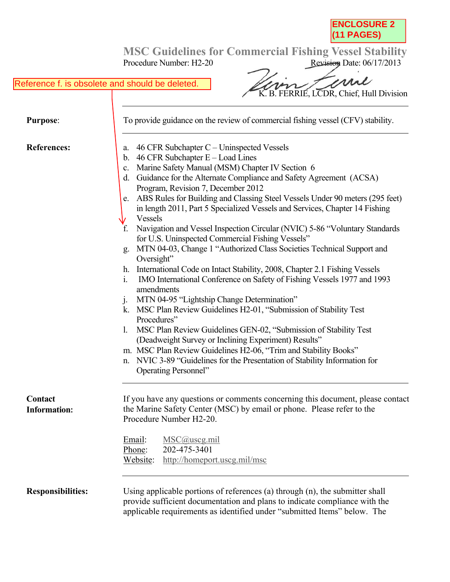

Procedure Number: H2-20 Revision Date: 06/17/2013

## Reference f. is obsolete and should be deleted.

mi K. B. FERRIE, LCDR, Chief, Hull Division

| <b>Purpose:</b>          | To provide guidance on the review of commercial fishing vessel (CFV) stability.                                                                                                                                                                                                                                                                                                                                                                                                                                                                                                                                                                                                                                                                                                                                                                                                                                                                                                                                                                                                                                                                                                                                                                                                                                                                              |  |  |
|--------------------------|--------------------------------------------------------------------------------------------------------------------------------------------------------------------------------------------------------------------------------------------------------------------------------------------------------------------------------------------------------------------------------------------------------------------------------------------------------------------------------------------------------------------------------------------------------------------------------------------------------------------------------------------------------------------------------------------------------------------------------------------------------------------------------------------------------------------------------------------------------------------------------------------------------------------------------------------------------------------------------------------------------------------------------------------------------------------------------------------------------------------------------------------------------------------------------------------------------------------------------------------------------------------------------------------------------------------------------------------------------------|--|--|
| <b>References:</b>       | 46 CFR Subchapter $C$ – Uninspected Vessels<br>a.<br>46 CFR Subchapter $E -$ Load Lines<br>$\mathbf b$ .<br>Marine Safety Manual (MSM) Chapter IV Section 6<br>c.<br>d. Guidance for the Alternate Compliance and Safety Agreement (ACSA)<br>Program, Revision 7, December 2012<br>e. ABS Rules for Building and Classing Steel Vessels Under 90 meters (295 feet)<br>in length 2011, Part 5 Specialized Vessels and Services, Chapter 14 Fishing<br>Vessels<br>Navigation and Vessel Inspection Circular (NVIC) 5-86 "Voluntary Standards<br>f.<br>for U.S. Uninspected Commercial Fishing Vessels"<br>MTN 04-03, Change 1 "Authorized Class Societies Technical Support and<br>g.<br>Oversight"<br>h. International Code on Intact Stability, 2008, Chapter 2.1 Fishing Vessels<br>IMO International Conference on Safety of Fishing Vessels 1977 and 1993<br>$\mathbf{i}$ .<br>amendments<br>MTN 04-95 "Lightship Change Determination"<br>J <sub>1</sub><br>MSC Plan Review Guidelines H2-01, "Submission of Stability Test<br>Procedures"<br>MSC Plan Review Guidelines GEN-02, "Submission of Stability Test<br>1.<br>(Deadweight Survey or Inclining Experiment) Results"<br>m. MSC Plan Review Guidelines H2-06, "Trim and Stability Books"<br>NVIC 3-89 "Guidelines for the Presentation of Stability Information for<br>n.<br>Operating Personnel" |  |  |
| Contact<br>Information:  | If you have any questions or comments concerning this document, please contact<br>the Marine Safety Center (MSC) by email or phone. Please refer to the<br>Procedure Number H2-20.<br>Email:<br>$MSC@$ uscg.mil<br>202-475-3401<br>Phone:<br>Website:<br>http://homeport.uscg.mil/msc                                                                                                                                                                                                                                                                                                                                                                                                                                                                                                                                                                                                                                                                                                                                                                                                                                                                                                                                                                                                                                                                        |  |  |
| <b>Responsibilities:</b> | Using applicable portions of references (a) through (n), the submitter shall<br>provide sufficient documentation and plans to indicate compliance with the<br>applicable requirements as identified under "submitted Items" below. The                                                                                                                                                                                                                                                                                                                                                                                                                                                                                                                                                                                                                                                                                                                                                                                                                                                                                                                                                                                                                                                                                                                       |  |  |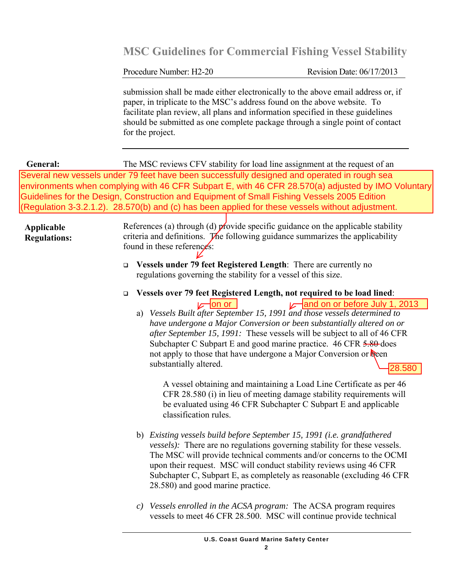Procedure Number: H2-20 Revision Date: 06/17/2013

submission shall be made either electronically to the above email address or, if paper, in triplicate to the MSC's address found on the above website. To facilitate plan review, all plans and information specified in these guidelines should be submitted as one complete package through a single point of contact for the project.

The MSC reviews CFV stability for load line assignment at the request of an Several new vessels under 79 feet have been successfully designed and operated in rough sea environments when complying with 46 CFR Subpart E, with 46 CFR 28.570(a) adjusted by IMO Voluntary Guidelines for the Design, Construction and Equipment of Small Fishing Vessels 2005 Edition **General:** (Regulation 3-3.2.1.2). 28.570(b) and (c) has been applied for these vessels without adjustment.

#### **Applicable Regulations:**

References (a) through (d) provide specific guidance on the applicable stability criteria and definitions. The following guidance summarizes the applicability found in these references:

- **Vessels under 79 feet Registered Length**: There are currently no regulations governing the stability for a vessel of this size.
- **Vessels over 79 feet Registered Length, not required to be load lined**:
	- a) *Vessels Built after September 15, 1991 and those vessels determined to have undergone a Major Conversion or been substantially altered on or after September 15, 1991:* These vessels will be subject to all of 46 CFR Subchapter C Subpart E and good marine practice. 46 CFR 5.80 does not apply to those that have undergone a Major Conversion or been substantially altered. on or  $\sqrt{ }$  and on or before July 1, 2013 28.580

A vessel obtaining and maintaining a Load Line Certificate as per 46 CFR 28.580 (i) in lieu of meeting damage stability requirements will be evaluated using 46 CFR Subchapter C Subpart E and applicable classification rules.

- b) *Existing vessels build before September 15, 1991 (i.e. grandfathered vessels):* There are no regulations governing stability for these vessels. The MSC will provide technical comments and/or concerns to the OCMI upon their request. MSC will conduct stability reviews using 46 CFR Subchapter C, Subpart E, as completely as reasonable (excluding 46 CFR 28.580) and good marine practice.
- *c) Vessels enrolled in the ACSA program:* The ACSA program requires vessels to meet 46 CFR 28.500. MSC will continue provide technical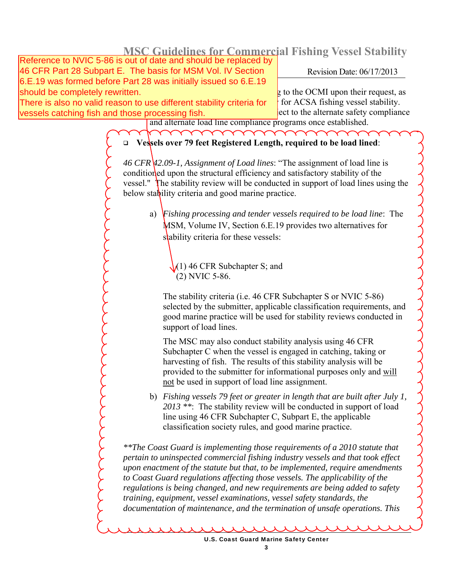46 CFR Part 28 Subpart E. The basis for MSM Vol. IV Section  $\vert$  Revision Date: 06/17/2013 Reference to NVIC 5-86 is out of date and should be replaced by 6.E.19 was formed before Part 28 was initially issued so 6.E.19 should be completely rewritten.

There is also no valid reason to use different stability criteria for  $\mid$  for ACSA fishing vessel stability. vessels catching fish and those processing fish.

 $\frac{1}{2}$  to the OCMI upon their request, as ect to the alternate safety compliance

and alternate load line compliance programs once established.

## **Vessels over 79 feet Registered Length, required to be load lined**:

*46 CFR 42.09-1, Assignment of Load lines*: "The assignment of load line is conditioned upon the structural efficiency and satisfactory stability of the vessel." The stability review will be conducted in support of load lines using the below stability criteria and good marine practice.

a) *Fishing processing and tender vessels required to be load line*: The MSM, Volume IV, Section 6.E.19 provides two alternatives for stability criteria for these vessels:

 $(1)$  46 CFR Subchapter S; and (2) NVIC 5-86.

The stability criteria (i.e. 46 CFR Subchapter S or NVIC 5-86) selected by the submitter, applicable classification requirements, and good marine practice will be used for stability reviews conducted in support of load lines.

The MSC may also conduct stability analysis using 46 CFR Subchapter C when the vessel is engaged in catching, taking or harvesting of fish. The results of this stability analysis will be provided to the submitter for informational purposes only and will not be used in support of load line assignment.

b) *Fishing vessels 79 feet or greater in length that are built after July 1, 2013 \*\**: The stability review will be conducted in support of load line using 46 CFR Subchapter C, Subpart E, the applicable classification society rules, and good marine practice.

*\*\*The Coast Guard is implementing those requirements of a 2010 statute that pertain to uninspected commercial fishing industry vessels and that took effect upon enactment of the statute but that, to be implemented, require amendments to Coast Guard regulations affecting those vessels. The applicability of the regulations is being changed, and new requirements are being added to safety training, equipment, vessel examinations, vessel safety standards, the documentation of maintenance, and the termination of unsafe operations. This* 

U.S. Coast Guard Marine Safety Center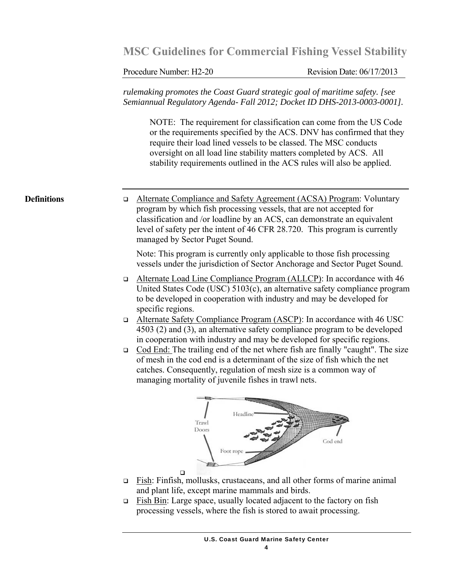Procedure Number: H2-20 Revision Date: 06/17/2013

*rulemaking promotes the Coast Guard strategic goal of maritime safety. [see Semiannual Regulatory Agenda- Fall 2012; Docket ID DHS-2013-0003-0001].* 

NOTE: The requirement for classification can come from the US Code or the requirements specified by the ACS. DNV has confirmed that they require their load lined vessels to be classed. The MSC conducts oversight on all load line stability matters completed by ACS. All stability requirements outlined in the ACS rules will also be applied.

#### **Definitions**

 Alternate Compliance and Safety Agreement (ACSA) Program: Voluntary program by which fish processing vessels, that are not accepted for classification and /or loadline by an ACS, can demonstrate an equivalent level of safety per the intent of 46 CFR 28.720. This program is currently managed by Sector Puget Sound.

Note: This program is currently only applicable to those fish processing vessels under the jurisdiction of Sector Anchorage and Sector Puget Sound.

- Alternate Load Line Compliance Program (ALLCP): In accordance with 46 United States Code (USC) 5103(c), an alternative safety compliance program to be developed in cooperation with industry and may be developed for specific regions.
- Alternate Safety Compliance Program (ASCP): In accordance with 46 USC 4503 (2) and (3), an alternative safety compliance program to be developed in cooperation with industry and may be developed for specific regions.
- Cod End: The trailing end of the net where fish are finally "caught". The size of mesh in the cod end is a determinant of the size of fish which the net catches. Consequently, regulation of mesh size is a common way of managing mortality of juvenile fishes in trawl nets.



- $\Box$  Fish: Finfish, mollusks, crustaceans, and all other forms of marine animal and plant life, except marine mammals and birds.
- Fish Bin: Large space, usually located adjacent to the factory on fish processing vessels, where the fish is stored to await processing.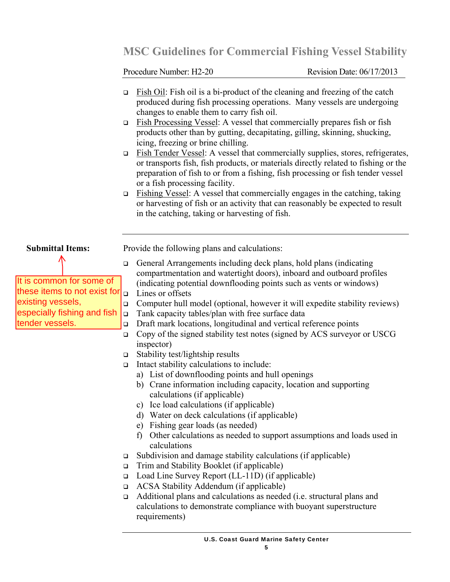Procedure Number: H2-20 Revision Date: 06/17/2013

- Fish Oil: Fish oil is a bi-product of the cleaning and freezing of the catch produced during fish processing operations. Many vessels are undergoing changes to enable them to carry fish oil.
- Fish Processing Vessel: A vessel that commercially prepares fish or fish products other than by gutting, decapitating, gilling, skinning, shucking, icing, freezing or brine chilling.
- Fish Tender Vessel: A vessel that commercially supplies, stores, refrigerates, or transports fish, fish products, or materials directly related to fishing or the preparation of fish to or from a fishing, fish processing or fish tender vessel or a fish processing facility.
- $\Box$  Fishing Vessel: A vessel that commercially engages in the catching, taking or harvesting of fish or an activity that can reasonably be expected to result in the catching, taking or harvesting of fish.

## **Submittal Items:**

It is common for some of these items to not exist for existing vessels, especially fishing and fish tender vessels.

Provide the following plans and calculations:

- General Arrangements including deck plans, hold plans (indicating compartmentation and watertight doors), inboard and outboard profiles (indicating potential downflooding points such as vents or windows)  $\Box$  Lines or offsets
- Computer hull model (optional, however it will expedite stability reviews)
- $\Box$  Tank capacity tables/plan with free surface data
- Draft mark locations, longitudinal and vertical reference points
- $\Box$  Copy of the signed stability test notes (signed by ACS surveyor or USCG inspector)
- □ Stability test/lightship results
- $\Box$  Intact stability calculations to include:
	- a) List of downflooding points and hull openings
	- b) Crane information including capacity, location and supporting calculations (if applicable)
	- c) Ice load calculations (if applicable)
	- d) Water on deck calculations (if applicable)
	- e) Fishing gear loads (as needed)
	- f) Other calculations as needed to support assumptions and loads used in calculations
- $\Box$  Subdivision and damage stability calculations (if applicable)
- $\Box$  Trim and Stability Booklet (if applicable)
- Load Line Survey Report (LL-11D) (if applicable)
- ACSA Stability Addendum (if applicable)
- Additional plans and calculations as needed (i.e. structural plans and calculations to demonstrate compliance with buoyant superstructure requirements)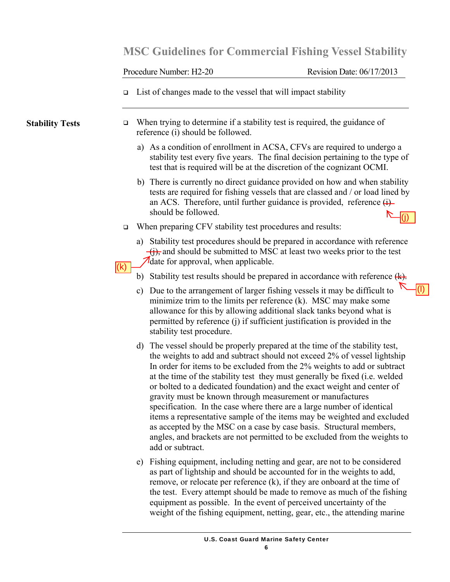Procedure Number: H2-20 Revision Date: 06/17/2013

(l)

 $\Box$  List of changes made to the vessel that will impact stability

**Stability Tests** 

- $\Box$  When trying to determine if a stability test is required, the guidance of reference (i) should be followed.
	- a) As a condition of enrollment in ACSA, CFVs are required to undergo a stability test every five years. The final decision pertaining to the type of test that is required will be at the discretion of the cognizant OCMI.
	- b) There is currently no direct guidance provided on how and when stability tests are required for fishing vessels that are classed and / or load lined by an ACS. Therefore, until further guidance is provided, reference  $\overrightarrow{H}$ should be followed. (j)
- $\Box$  When preparing CFV stability test procedures and results:
	- a) Stability test procedures should be prepared in accordance with reference  $\overline{f(t)}$ , and should be submitted to MSC at least two weeks prior to the test date for approval, when applicable.
- $\mathsf{I}(\mathsf{k})$

b) Stability test results should be prepared in accordance with reference  $(k)$ .

- c) Due to the arrangement of larger fishing vessels it may be difficult to minimize trim to the limits per reference (k). MSC may make some allowance for this by allowing additional slack tanks beyond what is permitted by reference (j) if sufficient justification is provided in the stability test procedure.
- d) The vessel should be properly prepared at the time of the stability test, the weights to add and subtract should not exceed 2% of vessel lightship In order for items to be excluded from the 2% weights to add or subtract at the time of the stability test they must generally be fixed (i.e. welded or bolted to a dedicated foundation) and the exact weight and center of gravity must be known through measurement or manufactures specification. In the case where there are a large number of identical items a representative sample of the items may be weighted and excluded as accepted by the MSC on a case by case basis. Structural members, angles, and brackets are not permitted to be excluded from the weights to add or subtract.
- e) Fishing equipment, including netting and gear, are not to be considered as part of lightship and should be accounted for in the weights to add, remove, or relocate per reference (k), if they are onboard at the time of the test. Every attempt should be made to remove as much of the fishing equipment as possible. In the event of perceived uncertainty of the weight of the fishing equipment, netting, gear, etc., the attending marine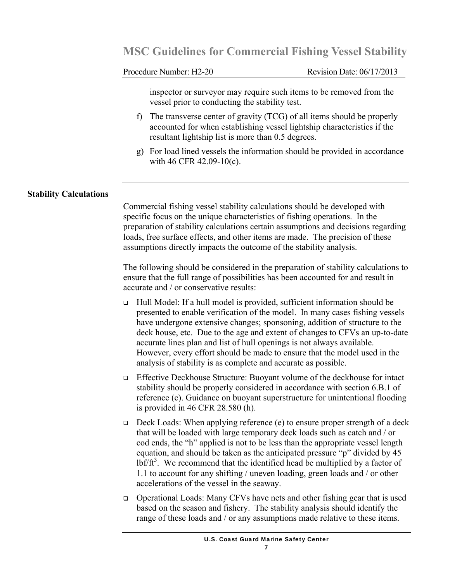Procedure Number: H2-20 Revision Date: 06/17/2013

inspector or surveyor may require such items to be removed from the vessel prior to conducting the stability test.

- f) The transverse center of gravity (TCG) of all items should be properly accounted for when establishing vessel lightship characteristics if the resultant lightship list is more than 0.5 degrees.
- g) For load lined vessels the information should be provided in accordance with 46 CFR 42.09-10(c).

### **Stability Calculations**

Commercial fishing vessel stability calculations should be developed with specific focus on the unique characteristics of fishing operations. In the preparation of stability calculations certain assumptions and decisions regarding loads, free surface effects, and other items are made. The precision of these assumptions directly impacts the outcome of the stability analysis.

The following should be considered in the preparation of stability calculations to ensure that the full range of possibilities has been accounted for and result in accurate and / or conservative results:

- Hull Model: If a hull model is provided, sufficient information should be presented to enable verification of the model. In many cases fishing vessels have undergone extensive changes; sponsoning, addition of structure to the deck house, etc. Due to the age and extent of changes to CFVs an up-to-date accurate lines plan and list of hull openings is not always available. However, every effort should be made to ensure that the model used in the analysis of stability is as complete and accurate as possible.
- Effective Deckhouse Structure: Buoyant volume of the deckhouse for intact stability should be properly considered in accordance with section 6.B.1 of reference (c). Guidance on buoyant superstructure for unintentional flooding is provided in 46 CFR 28.580 (h).
- $\Box$  Deck Loads: When applying reference (e) to ensure proper strength of a deck that will be loaded with large temporary deck loads such as catch and / or cod ends, the "h" applied is not to be less than the appropriate vessel length equation, and should be taken as the anticipated pressure "p" divided by 45  $1bf/ft<sup>3</sup>$ . We recommend that the identified head be multiplied by a factor of 1.1 to account for any shifting / uneven loading, green loads and / or other accelerations of the vessel in the seaway.
- Operational Loads: Many CFVs have nets and other fishing gear that is used based on the season and fishery. The stability analysis should identify the range of these loads and / or any assumptions made relative to these items.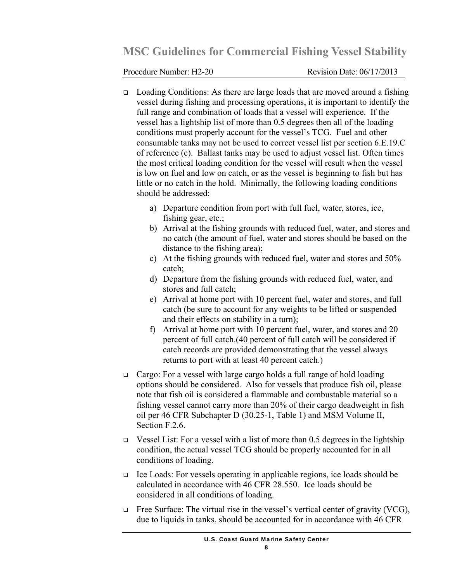Procedure Number: H2-20 Revision Date: 06/17/2013

- Loading Conditions: As there are large loads that are moved around a fishing vessel during fishing and processing operations, it is important to identify the full range and combination of loads that a vessel will experience. If the vessel has a lightship list of more than 0.5 degrees then all of the loading conditions must properly account for the vessel's TCG. Fuel and other consumable tanks may not be used to correct vessel list per section 6.E.19.C of reference (c). Ballast tanks may be used to adjust vessel list. Often times the most critical loading condition for the vessel will result when the vessel is low on fuel and low on catch, or as the vessel is beginning to fish but has little or no catch in the hold. Minimally, the following loading conditions should be addressed:
	- a) Departure condition from port with full fuel, water, stores, ice, fishing gear, etc.;
	- b) Arrival at the fishing grounds with reduced fuel, water, and stores and no catch (the amount of fuel, water and stores should be based on the distance to the fishing area);
	- c) At the fishing grounds with reduced fuel, water and stores and 50% catch;
	- d) Departure from the fishing grounds with reduced fuel, water, and stores and full catch;
	- e) Arrival at home port with 10 percent fuel, water and stores, and full catch (be sure to account for any weights to be lifted or suspended and their effects on stability in a turn);
	- f) Arrival at home port with 10 percent fuel, water, and stores and 20 percent of full catch.(40 percent of full catch will be considered if catch records are provided demonstrating that the vessel always returns to port with at least 40 percent catch.)
- Cargo: For a vessel with large cargo holds a full range of hold loading options should be considered. Also for vessels that produce fish oil, please note that fish oil is considered a flammable and combustable material so a fishing vessel cannot carry more than 20% of their cargo deadweight in fish oil per 46 CFR Subchapter D (30.25-1, Table 1) and MSM Volume II, Section F.2.6.
- $\Box$  Vessel List: For a vessel with a list of more than 0.5 degrees in the lightship condition, the actual vessel TCG should be properly accounted for in all conditions of loading.
- Ice Loads: For vessels operating in applicable regions, ice loads should be calculated in accordance with 46 CFR 28.550. Ice loads should be considered in all conditions of loading.
- $\Box$  Free Surface: The virtual rise in the vessel's vertical center of gravity (VCG), due to liquids in tanks, should be accounted for in accordance with 46 CFR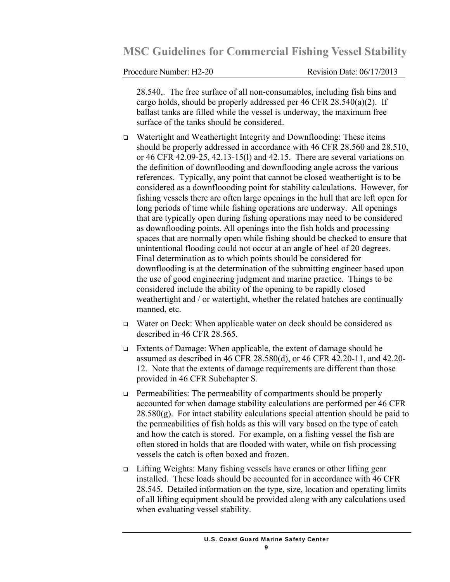Procedure Number: H2-20 Revision Date: 06/17/2013

28.540,. The free surface of all non-consumables, including fish bins and cargo holds, should be properly addressed per 46 CFR  $28.540(a)(2)$ . If ballast tanks are filled while the vessel is underway, the maximum free surface of the tanks should be considered.

- Watertight and Weathertight Integrity and Downflooding: These items should be properly addressed in accordance with 46 CFR 28.560 and 28.510, or 46 CFR 42.09-25, 42.13-15(l) and 42.15. There are several variations on the definition of downflooding and downflooding angle across the various references. Typically, any point that cannot be closed weathertight is to be considered as a downfloooding point for stability calculations. However, for fishing vessels there are often large openings in the hull that are left open for long periods of time while fishing operations are underway. All openings that are typically open during fishing operations may need to be considered as downflooding points. All openings into the fish holds and processing spaces that are normally open while fishing should be checked to ensure that unintentional flooding could not occur at an angle of heel of 20 degrees. Final determination as to which points should be considered for downflooding is at the determination of the submitting engineer based upon the use of good engineering judgment and marine practice. Things to be considered include the ability of the opening to be rapidly closed weathertight and / or watertight, whether the related hatches are continually manned, etc.
- Water on Deck: When applicable water on deck should be considered as described in 46 CFR 28.565.
- Extents of Damage: When applicable, the extent of damage should be assumed as described in 46 CFR 28.580(d), or 46 CFR 42.20-11, and 42.20- 12. Note that the extents of damage requirements are different than those provided in 46 CFR Subchapter S.
- $\Box$  Permeabilities: The permeability of compartments should be properly accounted for when damage stability calculations are performed per 46 CFR  $28.580(g)$ . For intact stability calculations special attention should be paid to the permeabilities of fish holds as this will vary based on the type of catch and how the catch is stored. For example, on a fishing vessel the fish are often stored in holds that are flooded with water, while on fish processing vessels the catch is often boxed and frozen.
- □ Lifting Weights: Many fishing vessels have cranes or other lifting gear installed. These loads should be accounted for in accordance with 46 CFR 28.545. Detailed information on the type, size, location and operating limits of all lifting equipment should be provided along with any calculations used when evaluating vessel stability.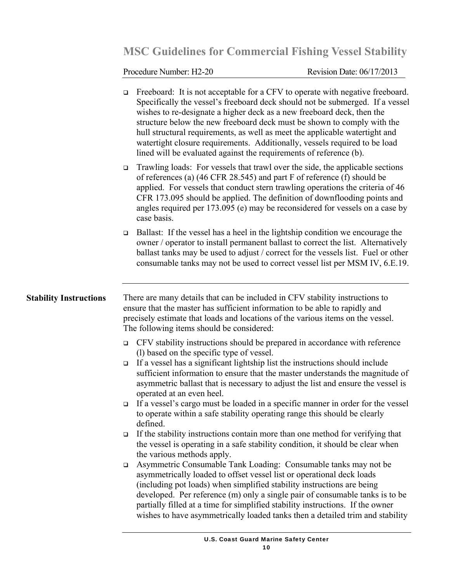## Procedure Number: H2-20 Revision Date: 06/17/2013

|                               | $\Box$                                                                                                                                                                                                                                                                                      | Freeboard: It is not acceptable for a CFV to operate with negative freeboard.<br>Specifically the vessel's freeboard deck should not be submerged. If a vessel<br>wishes to re-designate a higher deck as a new freeboard deck, then the<br>structure below the new freeboard deck must be shown to comply with the<br>hull structural requirements, as well as meet the applicable watertight and<br>watertight closure requirements. Additionally, vessels required to be load<br>lined will be evaluated against the requirements of reference (b). |  |
|-------------------------------|---------------------------------------------------------------------------------------------------------------------------------------------------------------------------------------------------------------------------------------------------------------------------------------------|--------------------------------------------------------------------------------------------------------------------------------------------------------------------------------------------------------------------------------------------------------------------------------------------------------------------------------------------------------------------------------------------------------------------------------------------------------------------------------------------------------------------------------------------------------|--|
|                               | $\Box$                                                                                                                                                                                                                                                                                      | Trawling loads: For vessels that trawl over the side, the applicable sections<br>of references (a) (46 CFR 28.545) and part F of reference (f) should be<br>applied. For vessels that conduct stern trawling operations the criteria of 46<br>CFR 173.095 should be applied. The definition of downflooding points and<br>angles required per 173.095 (e) may be reconsidered for vessels on a case by<br>case basis.                                                                                                                                  |  |
|                               | $\Box$                                                                                                                                                                                                                                                                                      | Ballast: If the vessel has a heel in the lightship condition we encourage the<br>owner / operator to install permanent ballast to correct the list. Alternatively<br>ballast tanks may be used to adjust / correct for the vessels list. Fuel or other<br>consumable tanks may not be used to correct vessel list per MSM IV, 6.E.19.                                                                                                                                                                                                                  |  |
| <b>Stability Instructions</b> | There are many details that can be included in CFV stability instructions to<br>ensure that the master has sufficient information to be able to rapidly and<br>precisely estimate that loads and locations of the various items on the vessel.<br>The following items should be considered: |                                                                                                                                                                                                                                                                                                                                                                                                                                                                                                                                                        |  |
|                               | $\Box$                                                                                                                                                                                                                                                                                      | CFV stability instructions should be prepared in accordance with reference                                                                                                                                                                                                                                                                                                                                                                                                                                                                             |  |
|                               | $\Box$                                                                                                                                                                                                                                                                                      | (1) based on the specific type of vessel.<br>If a vessel has a significant lightship list the instructions should include<br>sufficient information to ensure that the master understands the magnitude of<br>asymmetric ballast that is necessary to adjust the list and ensure the vessel is<br>operated at an even heel.                                                                                                                                                                                                                            |  |
|                               | $\Box$                                                                                                                                                                                                                                                                                      | If a vessel's cargo must be loaded in a specific manner in order for the vessel<br>to operate within a safe stability operating range this should be clearly<br>defined.                                                                                                                                                                                                                                                                                                                                                                               |  |
|                               | $\Box$                                                                                                                                                                                                                                                                                      | If the stability instructions contain more than one method for verifying that<br>the vessel is operating in a safe stability condition, it should be clear when<br>the various methods apply.                                                                                                                                                                                                                                                                                                                                                          |  |
|                               | $\Box$                                                                                                                                                                                                                                                                                      | Asymmetric Consumable Tank Loading: Consumable tanks may not be<br>asymmetrically loaded to offset vessel list or operational deck loads<br>(including pot loads) when simplified stability instructions are being<br>developed. Per reference (m) only a single pair of consumable tanks is to be<br>partially filled at a time for simplified stability instructions. If the owner<br>wishes to have asymmetrically loaded tanks then a detailed trim and stability                                                                                  |  |